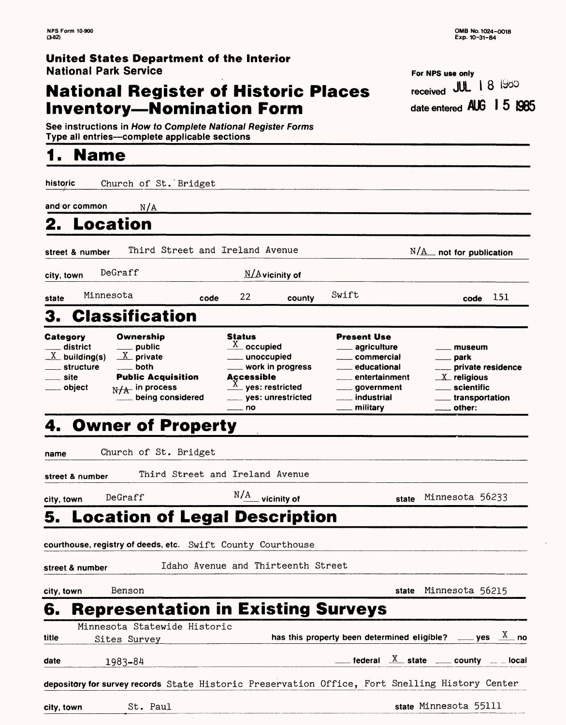# **United States Department of the Interior**

# National Park Service<br> **National Register of Historic DIares** For NPS use only **National Register of Historic Places** received JUL 18 1300<br>Inventory—Nomination Form date entered AUG 15 1985 **Inventory-Nomination Form**

**See instructions in How to Complete National Register Forms Type all entries—complete applicable sections** 

# **1. Name\_\_\_\_\_\_\_\_\_\_\_\_\_\_\_\_\_\_\_\_\_\_\_\_\_\_\_\_\_**

| historic<br>Church of St. Bridget                                                                                                                                                                                                                           |                                                                                                                                                            |                                                                                                                                        |                                                                                                                        |
|-------------------------------------------------------------------------------------------------------------------------------------------------------------------------------------------------------------------------------------------------------------|------------------------------------------------------------------------------------------------------------------------------------------------------------|----------------------------------------------------------------------------------------------------------------------------------------|------------------------------------------------------------------------------------------------------------------------|
| and/or common<br>N/A                                                                                                                                                                                                                                        |                                                                                                                                                            |                                                                                                                                        |                                                                                                                        |
| Location                                                                                                                                                                                                                                                    |                                                                                                                                                            |                                                                                                                                        |                                                                                                                        |
| street & number                                                                                                                                                                                                                                             | Third Street and Ireland Avenue                                                                                                                            |                                                                                                                                        | $N/\underline{A}$ not for publication                                                                                  |
| DeGraff<br>city, town                                                                                                                                                                                                                                       | $N/A$ vicinity of                                                                                                                                          |                                                                                                                                        |                                                                                                                        |
| Minnesota<br>state                                                                                                                                                                                                                                          | 22<br>county<br>code                                                                                                                                       | Swift                                                                                                                                  | 151<br>code                                                                                                            |
| <b>Classification</b><br>3.                                                                                                                                                                                                                                 |                                                                                                                                                            |                                                                                                                                        |                                                                                                                        |
| Category<br>Ownership<br>district<br>_ public<br>$\underline{X}$ building(s)<br>$\underline{X}$ private<br>both<br>structure<br>site<br><b>Public Acquisition</b><br>$N/A$ in process<br><sub>—</sub> object<br><b>Example in property</b> being considered | <b>Status</b><br>$\frac{X}{A}$ occupied<br>unoccupied<br>work in progress<br>Accessible<br>$\frac{X}{X}$ yes: restricted<br>____ yes: unrestricted<br>— no | <b>Present Use</b><br>agriculture<br>commercial<br>educational<br>entertainment<br><u>__</u> _ government<br>── industrial<br>military | museum<br>park<br>private residence<br>$\_$ X $\_$ religious<br>____ scientific<br><sub>transportation</sub><br>other: |
| <b>Owner of Property</b>                                                                                                                                                                                                                                    |                                                                                                                                                            |                                                                                                                                        |                                                                                                                        |
| Church of St. Bridget<br>name<br>street & number                                                                                                                                                                                                            | Third Street and Ireland Avenue                                                                                                                            |                                                                                                                                        |                                                                                                                        |
| DeGraff<br>city, town                                                                                                                                                                                                                                       | $N/A$ vicinity of                                                                                                                                          | state                                                                                                                                  | Minnesota 56233                                                                                                        |
| 5.                                                                                                                                                                                                                                                          | <b>Location of Legal Description</b>                                                                                                                       |                                                                                                                                        |                                                                                                                        |
| courthouse, registry of deeds, etc. Swift County Courthouse                                                                                                                                                                                                 |                                                                                                                                                            |                                                                                                                                        |                                                                                                                        |
| street & number                                                                                                                                                                                                                                             | Idaho Avenue and Thirteenth Street                                                                                                                         |                                                                                                                                        |                                                                                                                        |
| Benson<br>city, town                                                                                                                                                                                                                                        |                                                                                                                                                            | state                                                                                                                                  | Minnesota 56215                                                                                                        |
| 6.                                                                                                                                                                                                                                                          | <b>Representation in Existing Surveys</b>                                                                                                                  |                                                                                                                                        |                                                                                                                        |
| Minnesota Statewide Historic                                                                                                                                                                                                                                |                                                                                                                                                            |                                                                                                                                        |                                                                                                                        |
| title<br>Sites Survey                                                                                                                                                                                                                                       |                                                                                                                                                            | has this property been determined eligible? ____ yes $\frac{X}{x}$ no                                                                  |                                                                                                                        |
| date<br>1983-84                                                                                                                                                                                                                                             |                                                                                                                                                            |                                                                                                                                        | federal $X$ state $\sim$ county $\sim$ local                                                                           |
| depository for survey records State Historic Preservation Office, Fort Snelling History Center                                                                                                                                                              |                                                                                                                                                            |                                                                                                                                        |                                                                                                                        |
| St. Paul<br>city, town                                                                                                                                                                                                                                      |                                                                                                                                                            |                                                                                                                                        | state Minnesota 55111                                                                                                  |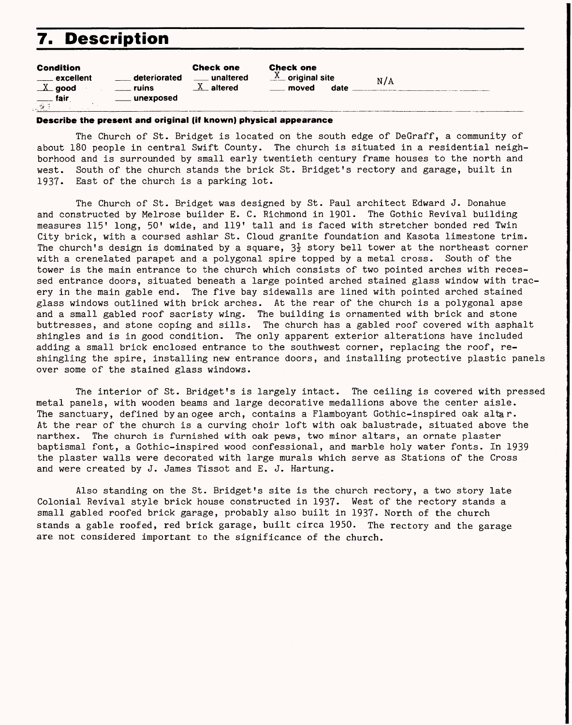### **7. Description**

| Condition                                                        |                                    | <b>Check one</b>          | <b>Check one</b>                   |     |
|------------------------------------------------------------------|------------------------------------|---------------------------|------------------------------------|-----|
| excellent<br>$X$ good<br>$\frac{1}{\sqrt{2}}$ fair<br>ata di kac | deteriorated<br>ruins<br>unexposed | unaltered<br>altered<br>A | $X$ original site<br>date<br>moved | N/A |

#### **Describe the present and original (if known) physical appearance**

The Church of St. Bridget is located on the south edge of DeGraff, a community of about 180 people in central Swift County. The church is situated in a residential neighborhood and is surrounded by small early twentieth century frame houses to the north and west. South of the church stands the brick St. Bridget's rectory and garage, built in 1937. East of the church is a parking lot.

The Church of St. Bridget was designed by St. Paul architect Edward J. Donahue and constructed by Melrose builder E. C. Richmond in 1901. The Gothic Revival building measures 115' long, 50' wide, and 119' tall and is faced with stretcher bonded red Twin City brick, with a coursed ashlar St. Cloud granite foundation and Kasota limestone trim. The church's design is dominated by a square,  $3\frac{1}{2}$  story bell tower at the northeast corner with a crenelated parapet and a polygonal spire topped by a metal cross. South of the tower is the main entrance to the church which consists of two pointed arches with recessed entrance doors, situated beneath a large pointed arched stained glass window with tracery in the main gable end. The five bay sidewalls are lined with pointed arched stained glass windows outlined with brick arches. At the rear of the church is a polygonal apse and a small gabled roof sacristy wing. The building is ornamented with brick and stone buttresses, and stone coping and sills. The church has a gabled roof covered with asphalt shingles and is in good condition. The only apparent exterior alterations have included adding a small brick enclosed entrance to the southwest corner, replacing the roof, reshingling the spire, installing new entrance doors, and installing protective plastic panels over some of the stained glass windows.

The interior of St. Bridget's is largely intact. The ceiling is covered with pressed metal panels, with wooden beams and large decorative medallions above the center aisle. The sanctuary, defined by an ogee arch, contains a Flamboyant Gothic-inspired oak altar. At the rear of the church is a curving choir loft with oak balustrade, situated above the narthex. The church is furnished with oak pews, two minor altars, an ornate plaster baptismal font, a Gothic-inspired wood confessional, and marble holy water fonts. In 1939 the plaster walls were decorated with large murals which serve as Stations of the Cross and were created by J. James Tissot and E. J. Hartung.

Also standing on the St. Bridget's site is the church rectory, a two story late Colonial Revival style brick house constructed in 1937. West of the rectory stands a small gabled roofed brick garage, probably also built in 1937. North of the church stands a gable roofed, red brick garage, built circa 1950. The rectory and the garage are not considered important to the significance of the church.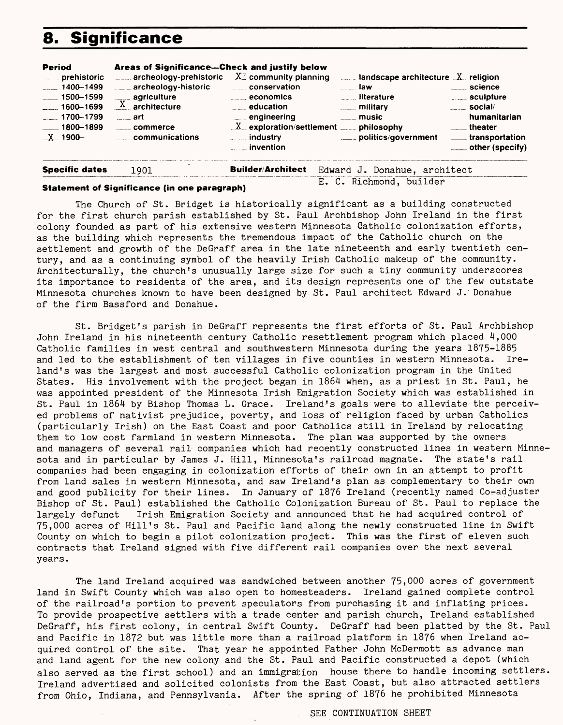# **8. Significance**

| <b>Period</b><br>___ prehistoric<br>$\sim$ 1400-1499<br>$-1500-1599$<br>1600–1699<br>$-1700 - 1799$<br>$\frac{1800-1899}{ }$<br>X 1900– | Areas of Significance—Check and justify below<br>$\Box$ archeology-prehistoric $X\mathbb{Z}$ community planning<br>archeology-historic<br>$\frac{1}{\sqrt{1-\epsilon}}$ agriculture<br>$X$ architecture<br>art art<br>communications | conservation<br>$\equiv$ economics<br>education entitled<br><b>Example 10</b> engineering<br>$X$ exploration/settlement $x =$ philosophy<br><b>Example 10</b> industry<br>u invention | and and scape architecture X. religion<br>a law<br>$\mathbf{L}$ literature<br>——— militarv<br>____ music<br>____ politics/government | science<br>____ sculpture<br>_____ social/<br>humanitarian<br>_____ theater<br><u>_</u> ___ transportation<br>$\equiv$ other (specify) |
|-----------------------------------------------------------------------------------------------------------------------------------------|--------------------------------------------------------------------------------------------------------------------------------------------------------------------------------------------------------------------------------------|---------------------------------------------------------------------------------------------------------------------------------------------------------------------------------------|--------------------------------------------------------------------------------------------------------------------------------------|----------------------------------------------------------------------------------------------------------------------------------------|
| <b>Specific dates</b>                                                                                                                   | 1901                                                                                                                                                                                                                                 | <b>Builder/Architect</b>                                                                                                                                                              | Edward J. Donahue, architect                                                                                                         |                                                                                                                                        |
|                                                                                                                                         |                                                                                                                                                                                                                                      |                                                                                                                                                                                       | E. C. Richmond, builder                                                                                                              |                                                                                                                                        |

#### **Statement of Significance (in one paragraph)**

The Church of St. Bridget is historically significant as a building constructed for the first church parish established by St. Paul Archbishop John Ireland in the first colony founded as part of his extensive western Minnesota Catholic colonization efforts, as the building which represents the tremendous impact of the Catholic church on the settlement and growth of the DeGraff area in the late nineteenth and early twentieth century, and as a continuing symbol of the heavily Irish Catholic makeup of the community. Architecturally, the church's unusually large size for such a tiny community underscores its importance to residents of the area, and its design represents one of the few outstate Minnesota churches known to have been designed by St. Paul architect Edward J. Donahue of the firm Bassford and Donahue.

St. Bridget's parish in DeGraff represents the first efforts of St. Paul Archbishop John Ireland in his nineteenth century Catholic resettlement program which placed  $4,000$ Catholic families in west central and southwestern Minnesota during the years 1875-1885 and led to the establishment of ten villages in five counties in western Minnesota. Ireland's was the largest and most successful Catholic colonization program in the United States. His involvement with the project began in 1864 when, as a priest in St. Paul, he was appointed president of the Minnesota Irish Emigration Society which was established in St. Paul in 1864 by Bishop Thomas L. Grace. Ireland's goals were to alleviate the perceived problems of nativist prejudice, poverty, and loss of religion faced by urban Catholics (particularly Irish) on the East Coast and poor Catholics still in Ireland by relocating them to low cost farmland in western Minnesota. The plan was supported by the owners and managers of several rail companies which had recently constructed lines in western Minnesota and in particular by James J. Hill, Minnesota's railroad magnate. The state's rail companies had been engaging in colonization efforts of their own in an attempt to profit from land sales in western Minnesota, and saw Ireland's plan as complementary to their own and good publicity for their lines. In January of 1876 Ireland (recently named Co-adjuster Bishop of St. Paul) established the Catholic Colonization Bureau of St. Paul to replace the largely defunct Irish Emigration Society and announced that he had acquired control of 75,000 acres of Hill's St. Paul and Pacific land along the newly constructed line in Swift County on which to begin a pilot colonization project. This was the first of eleven such contracts that Ireland signed with five different rail companies over the next several years.

The land Ireland acquired was sandwiched between another 75,000 acres of government land in Swift County which was also open to homesteaders. Ireland gained complete control of the railroad's portion to prevent speculators from purchasing it and inflating prices. To provide prospective settlers with a trade center and parish church, Ireland established DeGraff, his first colony, in central Swift County. DeGraff had been platted by the St. Paul and Pacific in 1872 but was little more than a railroad platform in 1876 when Ireland acquired control of the site. That year he appointed Father John McDermott as advance man and land agent for the new colony and the St. Paul and Pacific constructed a depot (which also served as the first school) and an immigration house there to handle incoming settlers. Ireland advertised and solicited colonists from the East Coast, but also attracted settlers from Ohio, Indiana, and Pennsylvania. After the spring of 1876 he prohibited Minnesota

SEE CONTINUATION SHEET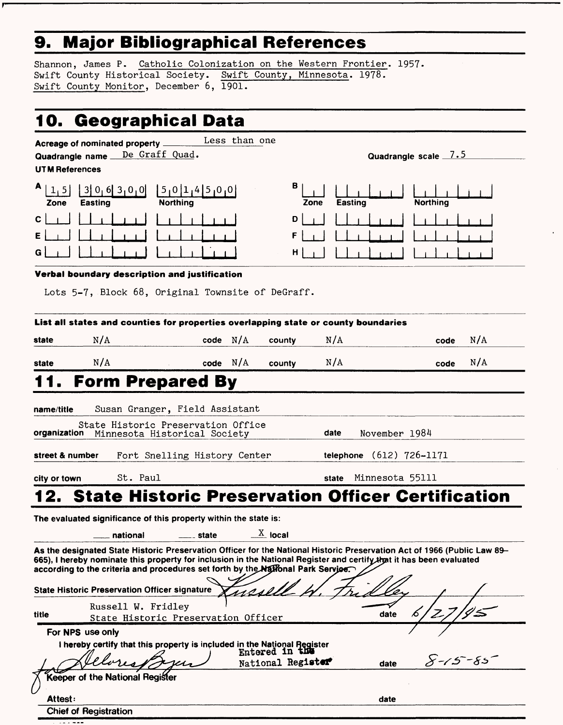# **9. Major Bibliographical References\_\_\_\_**

Shannon, James P. Catholic Colonization on the Western Frontier. 1957. Swift County Historical Society. Swift County, Minnesota. 1978. Swift County Monitor, December 6, 1901.

# **10. Geographical Data**

**Acreage of nominated property \_\_\_\_\_**  Less than one

**Quadrangle name De Graff Quad.** 

**UT M References**

| Zone | Easting                                              | $A$   1, 5     3   0   6   3   0   0     5   0   1   4   5   0   0  <br>Northing |
|------|------------------------------------------------------|----------------------------------------------------------------------------------|
|      |                                                      |                                                                                  |
|      | $E$ and the density of the density of $\overline{E}$ |                                                                                  |
| GII  | <u>the body bulgeting</u>                            |                                                                                  |

| 0 <sub>1</sub> 0 <sub>1</sub> | в <sub>I</sub><br>Zone | $\begin{array}{ c c c }\n\hline\n\text{Easting} & \text{I} & \text{I} \\ \hline\n\end{array}$ | <u>       </u><br>Northing |
|-------------------------------|------------------------|-----------------------------------------------------------------------------------------------|----------------------------|
| $\mathbf{L}$                  | $D \perp$              | $\lfloor \frac{1}{2} \rfloor$                                                                 |                            |
|                               | F                      | $\sim$ 1. Let $\sim$ 1. $\sim$                                                                | $\sim$ 1.1                 |
|                               | H                      | $1 \leq i \leq n$<br><b>Contract</b>                                                          |                            |

Quadrangle scale 7.5

### **Verbal boundary description and justification**

Lots 5-7, Block 68, Original Townsite of DeGraff.

| List all states and counties for properties overlapping state or county boundaries |                                                                                                                                                                                                                                                                                                                                     |                              |     |                      |                                |                 |               |     |
|------------------------------------------------------------------------------------|-------------------------------------------------------------------------------------------------------------------------------------------------------------------------------------------------------------------------------------------------------------------------------------------------------------------------------------|------------------------------|-----|----------------------|--------------------------------|-----------------|---------------|-----|
| state                                                                              | N/A                                                                                                                                                                                                                                                                                                                                 | code                         | N/A | county               | N/A                            |                 | code          | N/A |
| state                                                                              | N/A                                                                                                                                                                                                                                                                                                                                 | code                         | N/A | county               | N/A                            |                 | code          | N/A |
|                                                                                    | <b>Form Prepared By</b>                                                                                                                                                                                                                                                                                                             |                              |     |                      |                                |                 |               |     |
| name/title                                                                         | Susan Granger, Field Assistant                                                                                                                                                                                                                                                                                                      |                              |     |                      |                                |                 |               |     |
| organization                                                                       | State Historic Preservation Office<br>Minnesota Historical Society                                                                                                                                                                                                                                                                  |                              |     |                      | date                           | November 1984   |               |     |
| street & number                                                                    |                                                                                                                                                                                                                                                                                                                                     | Fort Snelling History Center |     |                      | telephone $(612)$ $726 - 1171$ |                 |               |     |
| city or town                                                                       | St. Paul                                                                                                                                                                                                                                                                                                                            |                              |     |                      | state                          | Minnesota 55111 |               |     |
|                                                                                    | <b>12. State Historic Preservation Officer Certification</b><br>The evaluated significance of this property within the state is:<br>national                                                                                                                                                                                        | <u>___</u> _state            |     | $\frac{X}{10}$ local |                                |                 |               |     |
|                                                                                    | As the designated State Historic Preservation Officer for the National Historic Preservation Act of 1966 (Public Law 89–<br>665), I hereby nominate this property for inclusion in the National Register and certify that it has been evaluated<br>according to the criteria and procedures set forth by the National Park Service. |                              |     |                      |                                |                 |               |     |
| title                                                                              | <b>State Historic Preservation Officer signature</b><br>Russell W. Fridley<br>State Historic Preservation Officer                                                                                                                                                                                                                   |                              |     | well                 |                                | date            |               |     |
|                                                                                    | For NPS use only                                                                                                                                                                                                                                                                                                                    |                              |     |                      |                                |                 |               |     |
|                                                                                    | I hereby certify that this property is included in the National Register<br>$\mathcal{A}$ $\mathcal{A}$ $\mathcal{A}$                                                                                                                                                                                                               |                              |     | National Register    |                                | date            | $8 - 15 - 85$ |     |
|                                                                                    | Keeper of the National Register                                                                                                                                                                                                                                                                                                     |                              |     |                      |                                |                 |               |     |
| <b>Attest:</b>                                                                     |                                                                                                                                                                                                                                                                                                                                     |                              |     |                      |                                | date            |               |     |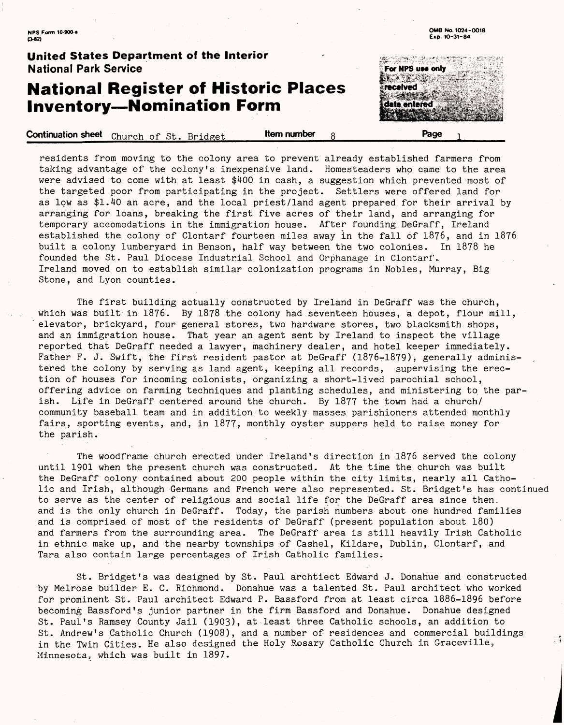**United States Department of the Interior National Park Service • •**

# **National Register of Historic Places Inventory— Nomination Form**

| For NPS use only |  |  |  |
|------------------|--|--|--|
|                  |  |  |  |
|                  |  |  |  |
|                  |  |  |  |
|                  |  |  |  |
|                  |  |  |  |
|                  |  |  |  |
|                  |  |  |  |

**E»p. W-31-84**

. Ş

**Continuation sheet** Church of St. Bridget **item number 3 \_\_\_\_\_\_\_\_\_\_\_\_\_\_\_\_\_\_\_\_\_\_\_Page** 

residents from moving to the colony area to prevent already established farmers from taking advantage of the colony's inexpensive land. Homesteaders who came to the area were advised to come with at least \$400 in cash, a suggestion which prevented most of the targeted poor from participating in the project. Settlers were offered land for as low as \$1.40 an acre, and the local priest /land agent prepared for their arrival by arranging for loans, breaking the first five acres of their land, and arranging for temporary accomodations in the immigration house. After founding DeGraff, Ireland established the colony of Clontarf fourteen miles away in the fall of 1876, and in 1876 built a colony lumberyard in Benson, half way between the two colonies. In 1878 he founded the St. Paul Diocese Industrial School and Orphanage in Clontarf.. Ireland moved on to establish similar colonization programs in Nobles, Murray, Big Stone, and Lyon counties.

The first building actually constructed by Ireland in DeGraff was the church, which was built in 1876. By 18?8 the colony had seventeen houses, a depot, flour mill, elevator, brickyard, four general stores, two hardware stores, two blacksmith shops, and an immigration house. That year an agent sent by Ireland to inspect the village reported that DeGraff needed a lawyer, machinery dealer, and hotel keeper immediately. Father F. J. Swift, the first resident pastor at DeGraff (1876-1879), generally administered the colony by serving as land agent, keeping all records, supervising the erection of houses for incoming colonists, organizing a short-lived parochial school, offering advice on farming techniques and planting schedules, and ministering to the parish. Life in DeGraff centered around the church. By 1877 the town had a church/ community baseball team and in addition to weekly masses parishioners attended monthly fairs, sporting events, and, in 1877, monthly oyster suppers held to raise money for the parish.

The woodframe church erected under Ireland's direction in 1876 served the colony until 1901 when the present church was constructed. At the time the church was built the DeGraff colony contained about 200 people within the city limits, nearly all Catholic and Irish, although Germans and French were also represented. St. Bridget's has continued to serve as the center of religious and social life for the DeGraff area since then. and is the only church in DeGraff. Today, the parish numbers about one hundred families and is comprised of most of the residents of DeGraff (present population about 180) and farmers from the surrounding area. The DeGraff area is still heavily Irish Catholic in ethnic make up, and the nearby townships of Cashel, Kildare, Dublin, Clontarf, and Tara also contain large percentages of Irish Catholic families.

St. Bridget's was designed by St. Paul archtiect Edward J. Donahue and constructed by Melrose builder E. C. Richmond. Donahue was a talented St. Paul architect who worked for prominent St. Paul architect Edward P. Bassford from at least circa 1886-1896 before becoming Bassford 's junior partner in the firm Bassford and Donahue. Donahue designed St. Paul's Ramsey County Jail (1903), at least three Catholic schools, an addition to St. Andrew's Catholic Church (1908), and a number of residences and commercial buildings in the Twin Cities. He also designed the Holy Rosary Catholic Church in Graceville, Minnesota, which was built in  $1897$ .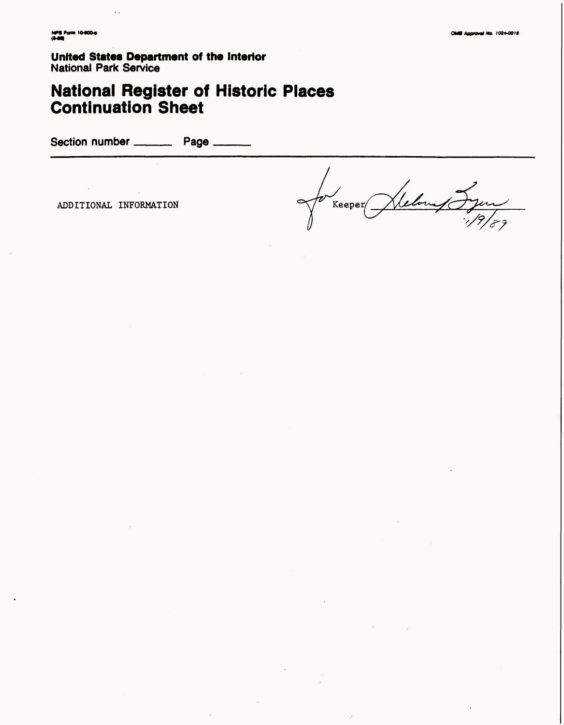**United States Department of the Interior** National Park Service

### **National Register of Historic Places Continuation Sheet**

Section number \_\_\_\_\_\_\_\_\_ Page \_

ADDITIONAL INFORMATION  $\bigotimes^{\mathcal{D}}$  Keeper/

 $\ddot{\phantom{1}}$ 

Kelou Byer